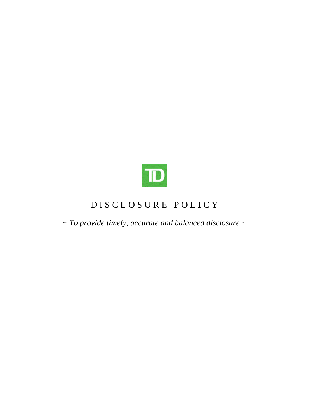

\_\_\_\_\_\_\_\_\_\_\_\_\_\_\_\_\_\_\_\_\_\_\_\_\_\_\_\_\_\_\_\_\_\_\_\_\_\_\_\_\_\_\_\_\_\_\_\_\_\_\_\_\_\_\_\_\_\_\_\_\_\_\_\_\_\_\_\_\_\_\_\_

# DISCLOSURE POLICY

~ *To provide timely, accurate and balanced disclosure* ~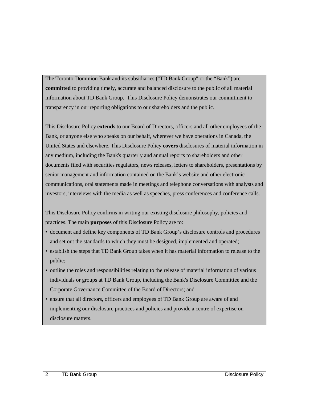The Toronto-Dominion Bank and its subsidiaries ("TD Bank Group" or the "Bank") are **committed** to providing timely, accurate and balanced disclosure to the public of all material information about TD Bank Group. This Disclosure Policy demonstrates our commitment to transparency in our reporting obligations to our shareholders and the public.

\_\_\_\_\_\_\_\_\_\_\_\_\_\_\_\_\_\_\_\_\_\_\_\_\_\_\_\_\_\_\_\_\_\_\_\_\_\_\_\_\_\_\_\_\_\_\_\_\_\_\_\_\_\_\_\_\_\_\_\_\_\_\_\_\_\_\_\_\_\_\_\_

This Disclosure Policy **extends** to our Board of Directors, officers and all other employees of the Bank, or anyone else who speaks on our behalf, wherever we have operations in Canada, the United States and elsewhere. This Disclosure Policy **covers** disclosures of material information in any medium, including the Bank's quarterly and annual reports to shareholders and other documents filed with securities regulators, news releases, letters to shareholders, presentations by senior management and information contained on the Bank's website and other electronic communications, oral statements made in meetings and telephone conversations with analysts and investors, interviews with the media as well as speeches, press conferences and conference calls.

This Disclosure Policy confirms in writing our existing disclosure philosophy, policies and practices. The main **purposes** of this Disclosure Policy are to:

- document and define key components of TD Bank Group's disclosure controls and procedures and set out the standards to which they must be designed, implemented and operated;
- establish the steps that TD Bank Group takes when it has material information to release to the public;
- outline the roles and responsibilities relating to the release of material information of various individuals or groups at TD Bank Group, including the Bank's Disclosure Committee and the Corporate Governance Committee of the Board of Directors; and
- ensure that all directors, officers and employees of TD Bank Group are aware of and implementing our disclosure practices and policies and provide a centre of expertise on disclosure matters.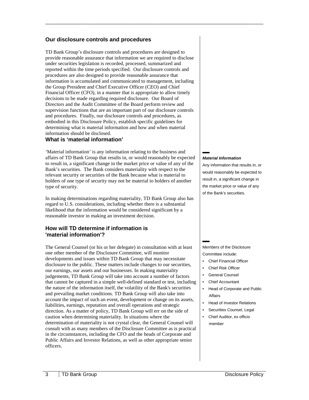#### **Our disclosure controls and procedures**

TD Bank Group's disclosure controls and procedures are designed to provide reasonable assurance that information we are required to disclose under securities legislation is recorded, processed, summarized and reported within the time periods specified. Our disclosure controls and procedures are also designed to provide reasonable assurance that information is accumulated and communicated to management, including the Group President and Chief Executive Officer (CEO) and Chief Financial Officer (CFO), in a manner that is appropriate to allow timely decisions to be made regarding required disclosure. Our Board of Directors and the Audit Committee of the Board perform review and supervision functions that are an important part of our disclosure controls and procedures. Finally, our disclosure controls and procedures, as embodied in this Disclosure Policy, establish specific guidelines for determining what is material information and how and when material information should be disclosed.

\_\_\_\_\_\_\_\_\_\_\_\_\_\_\_\_\_\_\_\_\_\_\_\_\_\_\_\_\_\_\_\_\_\_\_\_\_\_\_\_\_\_\_\_\_\_\_\_\_\_\_\_\_\_\_\_\_\_\_\_\_\_\_\_\_\_\_\_\_\_\_\_

#### **What is 'material information'**

'Material information' is any information relating to the business and affairs of TD Bank Group that results in, or would reasonably be expected to result in, a significant change in the market price or value of any of the Bank's securities. The Bank considers materiality with respect to the relevant security or securities of the Bank because what is material to holders of one type of security may not be material to holders of another type of security.

In making determinations regarding materiality, TD Bank Group also has regard to U.S. considerations, including whether there is a substantial likelihood that the information would be considered significant by a reasonable investor in making an investment decision.

## **How will TD determine if information is 'material information'?**

The General Counsel (or his or her delegate) in consultation with at least one other member of the Disclosure Committee, will monitor developments and issues within TD Bank Group that may necessitate disclosure to the public. These matters include changes to our securities, our earnings, our assets and our businesses. In making materiality judgements, TD Bank Group will take into account a number of factors that cannot be captured in a simple well-defined standard or test, including the nature of the information itself, the volatility of the Bank's securities and prevailing market conditions. TD Bank Group will also take into account the impact of such an event, development or change on its assets, liabilities, earnings, reputation and overall operations and strategic direction. As a matter of policy, TD Bank Group will err on the side of caution when determining materiality. In situations where the determination of materiality is not crystal clear, the General Counsel will consult with as many members of the Disclosure Committee as is practical in the circumstances, including the CFO and the heads of Corporate and Public Affairs and Investor Relations, as well as other appropriate senior officers.

#### ▬*Material Information*

Any information that results in, or would reasonably be expected to result in, a significant change in the market price or value of any of the Bank's securities.

▬Members of the Disclosure Committee include:

- Chief Financial Officer
- Chief Risk Officer
- General Counsel
- Chief Accountant
- Head of Corporate and Public Affairs
- Head of Investor Relations
- Securities Counsel, Legal
- Chief Auditor, ex officio member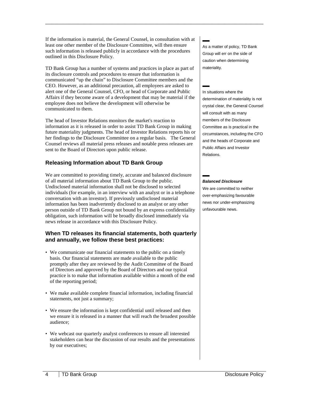If the information is material, the General Counsel, in consultation with at least one other member of the Disclosure Committee, will then ensure such information is released publicly in accordance with the procedures outlined in this Disclosure Policy.

\_\_\_\_\_\_\_\_\_\_\_\_\_\_\_\_\_\_\_\_\_\_\_\_\_\_\_\_\_\_\_\_\_\_\_\_\_\_\_\_\_\_\_\_\_\_\_\_\_\_\_\_\_\_\_\_\_\_\_\_\_\_\_\_\_\_\_\_\_\_\_\_

TD Bank Group has a number of systems and practices in place as part of its disclosure controls and procedures to ensure that information is communicated "up the chain" to Disclosure Committee members and the CEO. However, as an additional precaution, all employees are asked to alert one of the General Counsel, CFO, or head of Corporate and Public Affairs if they become aware of a development that may be material if the employee does not believe the development will otherwise be communicated to them.

The head of Investor Relations monitors the market's reaction to information as it is released in order to assist TD Bank Group in making future materiality judgments. The head of Investor Relations reports his or her findings to the Disclosure Committee on a regular basis. The General Counsel reviews all material press releases and notable press releases are sent to the Board of Directors upon public release.

# **Releasing Information about TD Bank Group**

We are committed to providing timely, accurate and balanced disclosure of all material information about TD Bank Group to the public. Undisclosed material information shall not be disclosed to selected individuals (for example, in an interview with an analyst or in a telephone conversation with an investor). If previously undisclosed material information has been inadvertently disclosed to an analyst or any other person outside of TD Bank Group not bound by an express confidentiality obligation, such information will be broadly disclosed immediately via news release in accordance with this Disclosure Policy.

#### **When TD releases its financial statements, both quarterly and annually, we follow these best practices:**

- We communicate our financial statements to the public on a timely basis. Our financial statements are made available to the public promptly after they are reviewed by the Audit Committee of the Board of Directors and approved by the Board of Directors and our typical practice is to make that information available within a month of the end of the reporting period;
- We make available complete financial information, including financial statements, not just a summary;
- We ensure the information is kept confidential until released and then we ensure it is released in a manner that will reach the broadest possible audience;
- We webcast our quarterly analyst conferences to ensure all interested stakeholders can hear the discussion of our results and the presentations by our executives;

▬As a matter of policy, TD Bank Group will err on the side of caution when determining materiality.

▬ In situations where the determination of materiality is not crystal clear, the General Counsel will consult with as many members of the Disclosure Committee as is practical in the circumstances, including the CFO and the heads of Corporate and Public Affairs and Investor Relations.

#### ▬*Balanced Disclosure*

We are committed to neither over-emphasizing favourable news nor under-emphasizing unfavourable news.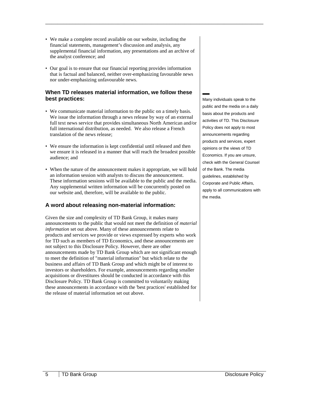• We make a complete record available on our website, including the financial statements, management's discussion and analysis, any supplemental financial information, any presentations and an archive of the analyst conference; and

\_\_\_\_\_\_\_\_\_\_\_\_\_\_\_\_\_\_\_\_\_\_\_\_\_\_\_\_\_\_\_\_\_\_\_\_\_\_\_\_\_\_\_\_\_\_\_\_\_\_\_\_\_\_\_\_\_\_\_\_\_\_\_\_\_\_\_\_\_\_\_\_

• Our goal is to ensure that our financial reporting provides information that is factual and balanced, neither over-emphasizing favourable news nor under-emphasizing unfavourable news.

#### **When TD releases material information, we follow these best practices:**

- We communicate material information to the public on a timely basis. We issue the information through a news release by way of an external full text news service that provides simultaneous North American and/or full international distribution, as needed. We also release a French translation of the news release;
- We ensure the information is kept confidential until released and then we ensure it is released in a manner that will reach the broadest possible audience; and
- When the nature of the announcement makes it appropriate, we will hold an information session with analysts to discuss the announcement. These information sessions will be available to the public and the media. Any supplemental written information will be concurrently posted on our website and, therefore, will be available to the public.

# **A word about releasing non-material information:**

Given the size and complexity of TD Bank Group, it makes many announcements to the public that would not meet the definition of *material information* set out above. Many of these announcements relate to products and services we provide or views expressed by experts who work for TD such as members of TD Economics, and these announcements are not subject to this Disclosure Policy. However, there are other announcements made by TD Bank Group which are not significant enough to meet the definition of "material information" but which relate to the business and affairs of TD Bank Group and which might be of interest to investors or shareholders. For example, announcements regarding smaller acquisitions or divestitures should be conducted in accordance with this Disclosure Policy. TD Bank Group is committed to voluntarily making these announcements in accordance with the 'best practices' established for the release of material information set out above.

▬Many individuals speak to the public and the media on a daily basis about the products and activities of TD. This Disclosure Policy does not apply to most announcements regarding products and services, expert opinions or the views of TD Economics. If you are unsure, check with the General Counsel of the Bank. The media guidelines, established by Corporate and Public Affairs, apply to all communications with the media.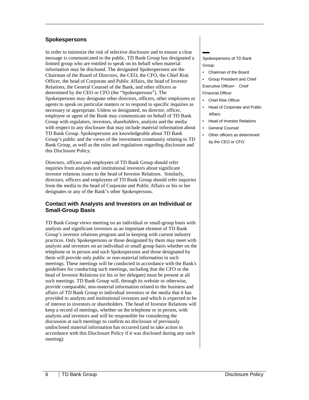## **Spokespersons**

In order to minimize the risk of selective disclosure and to ensure a clear message is communicated to the public, TD Bank Group has designated a limited group who are entitled to speak on its behalf when material information may be disclosed. The designated Spokespersons are the Chairman of the Board of Directors, the CEO, the CFO, the Chief Risk Officer, the head of Corporate and Public Affairs, the head of Investor Relations, the General Counsel of the Bank, and other officers as determined by the CEO or CFO (the "Spokespersons"). The Spokespersons may designate other directors, officers, other employees or agents to speak on particular matters or to respond to specific inquiries as necessary or appropriate. Unless so designated, no director, officer, employee or agent of the Bank may communicate on behalf of TD Bank Group with regulators, investors, shareholders, analysts and the media with respect to any disclosure that may include material information about TD Bank Group. Spokespersons are knowledgeable about TD Bank Group's public and the views of the investment community relating to TD Bank Group, as well as the rules and regulations regarding disclosure and this Disclosure Policy.

\_\_\_\_\_\_\_\_\_\_\_\_\_\_\_\_\_\_\_\_\_\_\_\_\_\_\_\_\_\_\_\_\_\_\_\_\_\_\_\_\_\_\_\_\_\_\_\_\_\_\_\_\_\_\_\_\_\_\_\_\_\_\_\_\_\_\_\_\_\_\_\_

Directors, officers and employees of TD Bank Group should refer inquiries from analysts and institutional investors about significant investor relations issues to the head of Investor Relations. Similarly, directors, officers and employees of TD Bank Group should refer inquiries from the media to the head of Corporate and Public Affairs or his or her designates or any of the Bank's other Spokespersons.

#### **Contact with Analysts and Investors on an Individual or Small-Group Basis**

TD Bank Group views meeting on an individual or small-group basis with analysts and significant investors as an important element of TD Bank Group's investor relations program and in keeping with current industry practices. Only Spokespersons or those designated by them may meet with analysts and investors on an individual or small group basis whether on the telephone or in person and such Spokespersons and those designated by them will provide only public or non-material information in such meetings. These meetings will be conducted in accordance with the Bank's guidelines for conducting such meetings, including that the CFO or the head of Investor Relations (or his or her delegate) must be present at all such meetings. TD Bank Group will, through its website or otherwise, provide comparable, non-material information related to the business and affairs of TD Bank Group to individual investors or the media that it has provided to analysts and institutional investors and which is expected to be of interest to investors or shareholders. The head of Investor Relations will keep a record of meetings, whether on the telephone or in person, with analysts and investors and will be responsible for considering the discussion at such meetings to confirm no disclosure of previously undisclosed material information has occurred (and to take action in accordance with this Disclosure Policy if it was disclosed during any such meeting).

▬Spokespersons of TD Bank Group:

- Chairman of the Board
- Group President and Chief

Executive Officer• Chief Financial Officer

- Chief Risk Officer
- Head of Corporate and Public Affairs
- Head of Investor Relations
- General Counsel
- Other officers as determined by the CEO or CFO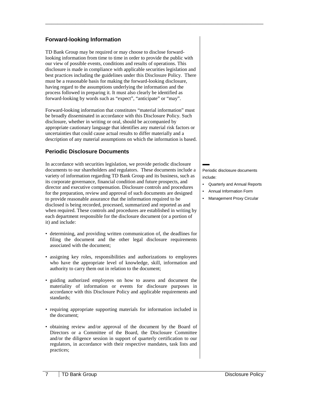## **Forward-looking Information**

TD Bank Group may be required or may choose to disclose forwardlooking information from time to time in order to provide the public with our view of possible events, conditions and results of operations. This disclosure is made in compliance with applicable securities legislation and best practices including the guidelines under this Disclosure Policy. There must be a reasonable basis for making the forward-looking disclosure, having regard to the assumptions underlying the information and the process followed in preparing it. It must also clearly be identified as forward-looking by words such as "expect", "anticipate" or "may".

\_\_\_\_\_\_\_\_\_\_\_\_\_\_\_\_\_\_\_\_\_\_\_\_\_\_\_\_\_\_\_\_\_\_\_\_\_\_\_\_\_\_\_\_\_\_\_\_\_\_\_\_\_\_\_\_\_\_\_\_\_\_\_\_\_\_\_\_\_\_\_\_

Forward-looking information that constitutes "material information" must be broadly disseminated in accordance with this Disclosure Policy. Such disclosure, whether in writing or oral, should be accompanied by appropriate cautionary language that identifies any material risk factors or uncertainties that could cause actual results to differ materially and a description of any material assumptions on which the information is based.

## **Periodic Disclosure Documents**

In accordance with securities legislation, we provide periodic disclosure documents to our shareholders and regulators. These documents include a variety of information regarding TD Bank Group and its business, such as its corporate governance, financial condition and future prospects, and director and executive compensation. Disclosure controls and procedures for the preparation, review and approval of such documents are designed to provide reasonable assurance that the information required to be disclosed is being recorded, processed, summarized and reported as and when required. These controls and procedures are established in writing by each department responsible for the disclosure document (or a portion of it) and include:

- determining, and providing written communication of, the deadlines for filing the document and the other legal disclosure requirements associated with the document;
- assigning key roles, responsibilities and authorizations to employees who have the appropriate level of knowledge, skill, information and authority to carry them out in relation to the document;
- guiding authorized employees on how to assess and document the materiality of information or events for disclosure purposes in accordance with this Disclosure Policy and applicable requirements and standards;
- requiring appropriate supporting materials for information included in the document;
- obtaining review and/or approval of the document by the Board of Directors or a Committee of the Board, the Disclosure Committee and/or the diligence session in support of quarterly certification to our regulators, in accordance with their respective mandates, task lists and practices;

▬Periodic disclosure documents include:

- Quarterly and Annual Reports
- Annual Information Form
- Management Proxy Circular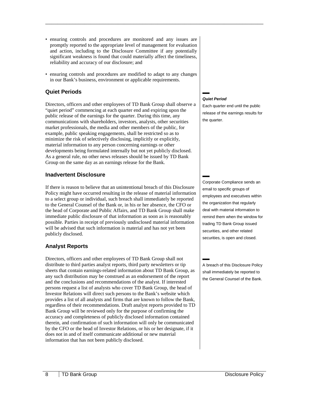• ensuring controls and procedures are monitored and any issues are promptly reported to the appropriate level of management for evaluation and action, including to the Disclosure Committee if any potentially significant weakness is found that could materially affect the timeliness, reliability and accuracy of our disclosure; and

\_\_\_\_\_\_\_\_\_\_\_\_\_\_\_\_\_\_\_\_\_\_\_\_\_\_\_\_\_\_\_\_\_\_\_\_\_\_\_\_\_\_\_\_\_\_\_\_\_\_\_\_\_\_\_\_\_\_\_\_\_\_\_\_\_\_\_\_\_\_\_\_

• ensuring controls and procedures are modified to adapt to any changes in our Bank's business, environment or applicable requirements.

## **Quiet Periods**

Directors, officers and other employees of TD Bank Group shall observe a "quiet period" commencing at each quarter end and expiring upon the public release of the earnings for the quarter. During this time, any communications with shareholders, investors, analysts, other securities market professionals, the media and other members of the public, for example, public speaking engagements, shall be restricted so as to minimize the risk of selectively disclosing, implicitly or explicitly, material information to any person concerning earnings or other developments being formulated internally but not yet publicly disclosed. As a general rule, no other news releases should be issued by TD Bank Group on the same day as an earnings release for the Bank.

#### **Inadvertent Disclosure**

If there is reason to believe that an unintentional breach of this Disclosure Policy might have occurred resulting in the release of material information to a select group or individual, such breach shall immediately be reported to the General Counsel of the Bank or, in his or her absence, the CFO or the head of Corporate and Public Affairs, and TD Bank Group shall make immediate public disclosure of that information as soon as is reasonably possible. Parties in receipt of previously undisclosed material information will be advised that such information is material and has not yet been publicly disclosed.

# **Analyst Reports**

Directors, officers and other employees of TD Bank Group shall not distribute to third parties analyst reports, third party newsletters or tip sheets that contain earnings-related information about TD Bank Group, as any such distribution may be construed as an endorsement of the report and the conclusions and recommendations of the analyst. If interested persons request a list of analysts who cover TD Bank Group, the head of Investor Relations will direct such persons to the Bank's website which provides a list of all analysts and firms that are known to follow the Bank, regardless of their recommendations. Draft analyst reports provided to TD Bank Group will be reviewed only for the purpose of confirming the accuracy and completeness of publicly disclosed information contained therein, and confirmation of such information will only be communicated by the CFO or the head of Investor Relations, or his or her designate, if it does not in and of itself communicate additional or new material information that has not been publicly disclosed.

#### ▬ *Quiet Period*

Each quarter end until the public release of the earnings results for the quarter.

▬Corporate Compliance sends an email to specific groups of employees and executives within the organization that regularly deal with material information to remind them when the window for trading TD Bank Group issued securities, and other related securities, is open and closed.

▬A breach of this Disclosure Policy shall immediately be reported to the General Counsel of the Bank.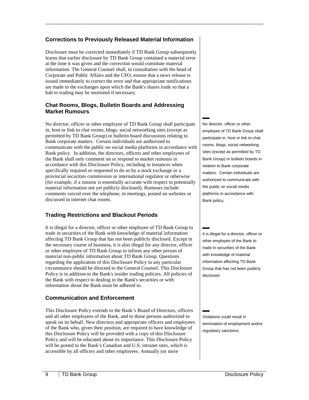## **Corrections to Previously Released Material Information**

\_\_\_\_\_\_\_\_\_\_\_\_\_\_\_\_\_\_\_\_\_\_\_\_\_\_\_\_\_\_\_\_\_\_\_\_\_\_\_\_\_\_\_\_\_\_\_\_\_\_\_\_\_\_\_\_\_\_\_\_\_\_\_\_\_\_\_\_\_\_\_\_

Disclosure must be corrected immediately if TD Bank Group subsequently learns that earlier disclosure by TD Bank Group contained a material error at the time it was given and the correction would constitute material information. The General Counsel shall, in consultation with the head of Corporate and Public Affairs and the CFO, ensure that a news release is issued immediately to correct the error and that appropriate notifications are made to the exchanges upon which the Bank's shares trade so that a halt to trading may be instituted if necessary.

#### **Chat Rooms, Blogs, Bulletin Boards and Addressing Market Rumours**

No director, officer or other employee of TD Bank Group shall participate in, host or link to chat rooms, blogs, social networking sites (except as permitted by TD Bank Group) or bulletin board discussions relating to Bank corporate matters. Certain individuals are authorized to communicate with the public on social media platforms in accordance with Bank policy. In addition, the directors, officers and other employees of the Bank shall only comment on or respond to market rumours in accordance with this Disclosure Policy, including in instances when specifically required or requested to do so by a stock exchange or a provincial securities commission or international regulator or otherwise (for example, if a rumour is essentially accurate with respect to potentially material information not yet publicly disclosed). Rumours include comments voiced over the telephone, in meetings, posted on websites or discussed in internet chat rooms.

# **Trading Restrictions and Blackout Periods**

It is illegal for a director, officer or other employee of TD Bank Group to trade in securities of the Bank with knowledge of material information affecting TD Bank Group that has not been publicly disclosed. Except in the necessary course of business, it is also illegal for any director, officer or other employee of TD Bank Group to inform any other person of material non-public information about TD Bank Group. Questions regarding the application of this Disclosure Policy in any particular circumstance should be directed to the General Counsel. This Disclosure Policy is in addition to the Bank's insider trading policies. All policies of the Bank with respect to dealing in the Bank's securities or with information about the Bank must be adhered to.

#### **Communication and Enforcement**

This Disclosure Policy extends to the Bank's Board of Directors, officers and all other employees of the Bank, and to those persons authorized to speak on its behalf. New directors and appropriate officers and employees of the Bank who, given their position, are required to have knowledge of this Disclosure Policy will be provided with a copy of this Disclosure Policy and will be educated about its importance. This Disclosure Policy will be posted to the Bank's Canadian and U.S. intranet sites, which is accessible by all officers and other employees. Annually (or more

▬ No director, officer or other employee of TD Bank Group shall participate in, host or link to chat rooms, blogs, social networking sites (except as permitted by TD Bank Group) or bulletin boards in relation to Bank corporate matters. Certain individuals are authorized to communicate with the public on social media platforms in accordance with Bank policy**.**

▬It is illegal for a director, officer or other employee of the Bank to trade in securities of the Bank with knowledge of material information affecting TD Bank Group that has not been publicly disclosed.

▬Violations could result in termination of employment and/or regulatory sanctions.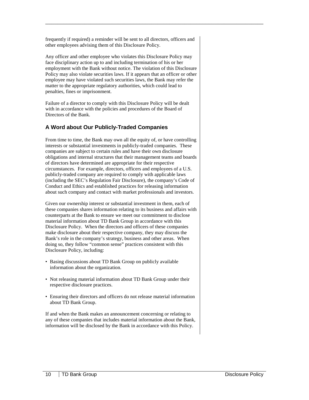frequently if required) a reminder will be sent to all directors, officers and other employees advising them of this Disclosure Policy.

\_\_\_\_\_\_\_\_\_\_\_\_\_\_\_\_\_\_\_\_\_\_\_\_\_\_\_\_\_\_\_\_\_\_\_\_\_\_\_\_\_\_\_\_\_\_\_\_\_\_\_\_\_\_\_\_\_\_\_\_\_\_\_\_\_\_\_\_\_\_\_\_

Any officer and other employee who violates this Disclosure Policy may face disciplinary action up to and including termination of his or her employment with the Bank without notice. The violation of this Disclosure Policy may also violate securities laws. If it appears that an officer or other employee may have violated such securities laws, the Bank may refer the matter to the appropriate regulatory authorities, which could lead to penalties, fines or imprisonment.

Failure of a director to comply with this Disclosure Policy will be dealt with in accordance with the policies and procedures of the Board of Directors of the Bank.

# **A Word about Our Publicly-Traded Companies**

From time to time, the Bank may own all the equity of, or have controlling interests or substantial investments in publicly-traded companies. These companies are subject to certain rules and have their own disclosure obligations and internal structures that their management teams and boards of directors have determined are appropriate for their respective circumstances. For example, directors, officers and employees of a U.S. publicly-traded company are required to comply with applicable laws (including the SEC's Regulation Fair Disclosure), the company's Code of Conduct and Ethics and established practices for releasing information about such company and contact with market professionals and investors.

Given our ownership interest or substantial investment in them, each of these companies shares information relating to its business and affairs with counterparts at the Bank to ensure we meet our commitment to disclose material information about TD Bank Group in accordance with this Disclosure Policy. When the directors and officers of these companies make disclosure about their respective company, they may discuss the Bank's role in the company's strategy, business and other areas. When doing so, they follow "common sense" practices consistent with this Disclosure Policy, including:

- Basing discussions about TD Bank Group on publicly available information about the organization.
- Not releasing material information about TD Bank Group under their respective disclosure practices.
- Ensuring their directors and officers do not release material information about TD Bank Group.

If and when the Bank makes an announcement concerning or relating to any of these companies that includes material information about the Bank, information will be disclosed by the Bank in accordance with this Policy.